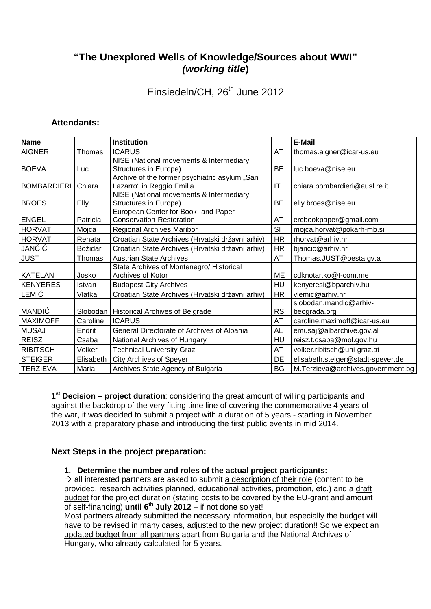# **"The Unexplored Wells of Knowledge/Sources about WWI" (working title)**

Einsiedeln/CH, 26<sup>th</sup> June 2012

# **Attendants:**

| <b>Name</b>        |           | <b>Institution</b>                               |           | E-Mail                            |
|--------------------|-----------|--------------------------------------------------|-----------|-----------------------------------|
| <b>AIGNER</b>      | Thomas    | <b>ICARUS</b>                                    | AT        | thomas.aigner@icar-us.eu          |
|                    |           | NISE (National movements & Intermediary          |           |                                   |
| <b>BOEVA</b>       | Luc       | Structures in Europe)                            | <b>BE</b> | luc.boeva@nise.eu                 |
|                    |           | Archive of the former psychiatric asylum "San    |           |                                   |
| <b>BOMBARDIERI</b> | Chiara    | Lazarro" in Reggio Emilia                        | IT        | chiara.bombardieri@ausl.re.it     |
|                    |           | NISE (National movements & Intermediary          |           |                                   |
| <b>BROES</b>       | Elly      | Structures in Europe)                            | BE        | elly.broes@nise.eu                |
|                    |           | European Center for Book- and Paper              |           |                                   |
| <b>ENGEL</b>       | Patricia  | Conservation-Restoration                         | AT        | ercbookpaper@gmail.com            |
| <b>HORVAT</b>      | Mojca     | <b>Regional Archives Maribor</b>                 | SI        | mojca.horvat@pokarh-mb.si         |
| <b>HORVAT</b>      | Renata    | Croatian State Archives (Hrvatski državni arhiv) | <b>HR</b> | rhorvat@arhiv.hr                  |
| JANČIĆ             | Božidar   | Croatian State Archives (Hrvatski državni arhiv) | <b>HR</b> | bjancic@arhiv.hr                  |
| <b>JUST</b>        | Thomas    | <b>Austrian State Archives</b>                   | AT        | Thomas.JUST@oesta.gv.a            |
|                    |           | State Archives of Montenegro/ Historical         |           |                                   |
| <b>KATELAN</b>     | Josko     | Archives of Kotor                                | <b>ME</b> | cdknotar.ko@t-com.me              |
| <b>KENYERES</b>    | Istvan    | <b>Budapest City Archives</b>                    | HU        | kenyeresi@bparchiv.hu             |
| LEMIĆ              | Vlatka    | Croatian State Archives (Hrvatski državni arhiv) | HR.       | vlemic@arhiv.hr                   |
|                    |           |                                                  |           | slobodan.mandic@arhiv-            |
| <b>MANDIĆ</b>      |           | Slobodan   Historical Archives of Belgrade       | <b>RS</b> | beograda.org                      |
| <b>MAXIMOFF</b>    | Caroline  | <b>ICARUS</b>                                    | AT        | caroline.maximoff@icar-us.eu      |
| <b>MUSAJ</b>       | Endrit    | General Directorate of Archives of Albania       | <b>AL</b> | emusaj@albarchive.gov.al          |
| <b>REISZ</b>       | Csaba     | National Archives of Hungary                     | HU        | reisz.t.csaba@mol.gov.hu          |
| <b>RIBITSCH</b>    | Volker    | <b>Technical University Graz</b>                 | <b>AT</b> | volker.ribitsch@uni-graz.at       |
| <b>STEIGER</b>     | Elisabeth | <b>City Archives of Speyer</b>                   | DE        | elisabeth.steiger@stadt-speyer.de |
| <b>TERZIEVA</b>    | Maria     | Archives State Agency of Bulgaria                | <b>BG</b> | M.Terzieva@archives.government.bg |

**1 st Decision – project duration**: considering the great amount of willing participants and against the backdrop of the very fitting time line of covering the commemorative 4 years of the war, it was decided to submit a project with a duration of 5 years - starting in November 2013 with a preparatory phase and introducing the first public events in mid 2014.

## **Next Steps in the project preparation:**

#### **1. Determine the number and roles of the actual project participants:**

 $\rightarrow$  all interested partners are asked to submit a description of their role (content to be provided, research activities planned, educational activities, promotion, etc.) and a draft budget for the project duration (stating costs to be covered by the EU-grant and amount of self-financing) **until 6th July 2012** – if not done so yet!

Most partners already submitted the necessary information, but especially the budget will have to be revised in many cases, adjusted to the new project duration!! So we expect an updated budget from all partners apart from Bulgaria and the National Archives of Hungary, who already calculated for 5 years.